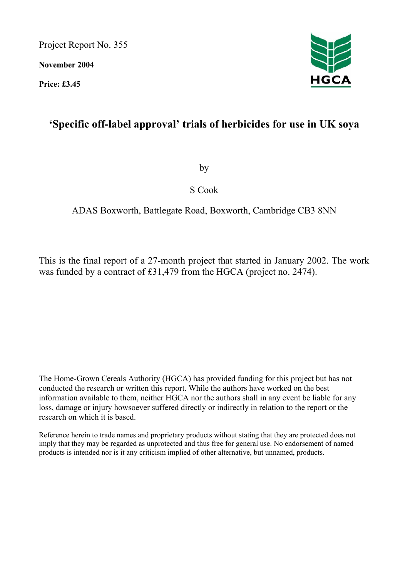Project Report No. 355

**November 2004** 

**Price: £3.45** 

# **'Specific off-label approval' trials of herbicides for use in UK soya**

by

S Cook

# ADAS Boxworth, Battlegate Road, Boxworth, Cambridge CB3 8NN

This is the final report of a 27-month project that started in January 2002. The work was funded by a contract of £31,479 from the HGCA (project no. 2474).

The Home-Grown Cereals Authority (HGCA) has provided funding for this project but has not conducted the research or written this report. While the authors have worked on the best information available to them, neither HGCA nor the authors shall in any event be liable for any loss, damage or injury howsoever suffered directly or indirectly in relation to the report or the research on which it is based.

Reference herein to trade names and proprietary products without stating that they are protected does not imply that they may be regarded as unprotected and thus free for general use. No endorsement of named products is intended nor is it any criticism implied of other alternative, but unnamed, products.

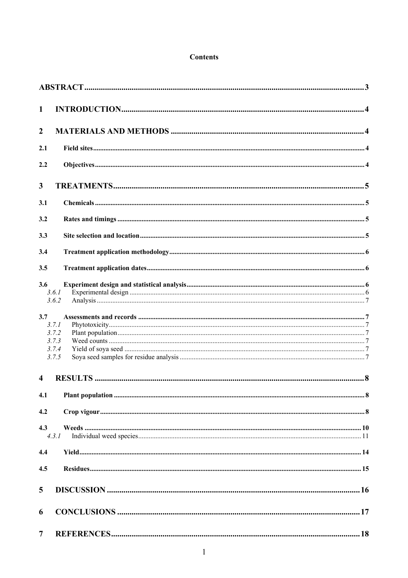#### **Contents**

| $\mathbf{1}$            |                                           |  |
|-------------------------|-------------------------------------------|--|
| $\overline{2}$          |                                           |  |
| 2.1                     |                                           |  |
| 2.2                     |                                           |  |
| 3                       |                                           |  |
| 3.1                     |                                           |  |
| 3.2                     |                                           |  |
| 3.3                     |                                           |  |
| 3.4                     |                                           |  |
| 3.5                     |                                           |  |
| 3.6                     | 3.6.1<br>3.6.2                            |  |
| 3.7                     | 3.7.1<br>3.7.2<br>3.7.3<br>3.7.4<br>3.7.5 |  |
| $\overline{\mathbf{4}}$ |                                           |  |
| 4.1                     |                                           |  |
| 4.2                     |                                           |  |
| 4.3                     | 4.3.1                                     |  |
| 4.4                     |                                           |  |
| 4.5                     |                                           |  |
| 5                       |                                           |  |
| 6                       |                                           |  |
| $\overline{7}$          |                                           |  |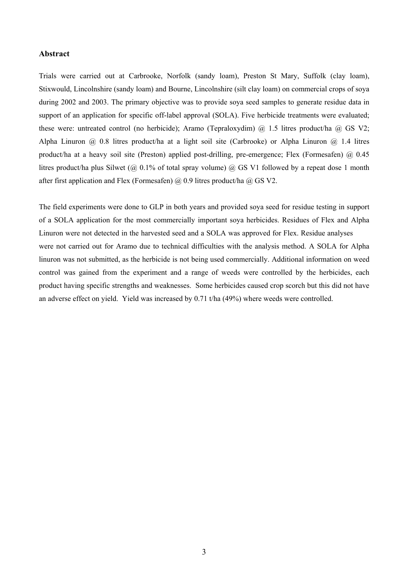#### **Abstract**

Trials were carried out at Carbrooke, Norfolk (sandy loam), Preston St Mary, Suffolk (clay loam), Stixwould, Lincolnshire (sandy loam) and Bourne, Lincolnshire (silt clay loam) on commercial crops of soya during 2002 and 2003. The primary objective was to provide soya seed samples to generate residue data in support of an application for specific off-label approval (SOLA). Five herbicide treatments were evaluated; these were: untreated control (no herbicide); Aramo (Tepraloxydim) @ 1.5 litres product/ha @ GS V2; Alpha Linuron  $\hat{\omega}$  0.8 litres product/ha at a light soil site (Carbrooke) or Alpha Linuron  $\hat{\omega}$  1.4 litres product/ha at a heavy soil site (Preston) applied post-drilling, pre-emergence; Flex (Formesafen)  $\omega$  0.45 litres product/ha plus Silwet ( $@$  0.1% of total spray volume)  $@$  GS V1 followed by a repeat dose 1 month after first application and Flex (Formesafen)  $\omega$  0.9 litres product/ha  $\omega$  GS V2.

The field experiments were done to GLP in both years and provided soya seed for residue testing in support of a SOLA application for the most commercially important soya herbicides. Residues of Flex and Alpha Linuron were not detected in the harvested seed and a SOLA was approved for Flex. Residue analyses were not carried out for Aramo due to technical difficulties with the analysis method. A SOLA for Alpha linuron was not submitted, as the herbicide is not being used commercially. Additional information on weed control was gained from the experiment and a range of weeds were controlled by the herbicides, each product having specific strengths and weaknesses. Some herbicides caused crop scorch but this did not have an adverse effect on yield. Yield was increased by 0.71 t/ha (49%) where weeds were controlled.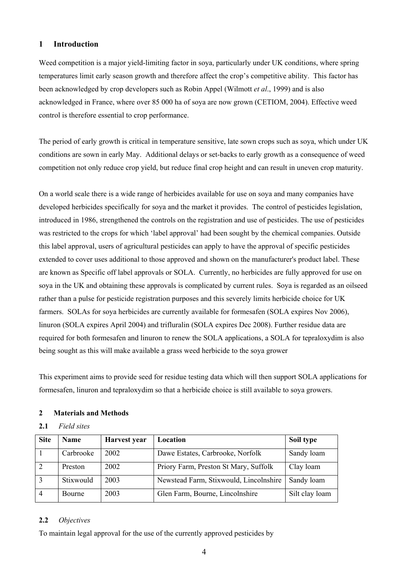### **1 Introduction**

Weed competition is a major yield-limiting factor in soya, particularly under UK conditions, where spring temperatures limit early season growth and therefore affect the crop's competitive ability. This factor has been acknowledged by crop developers such as Robin Appel (Wilmott *et al*., 1999) and is also acknowledged in France, where over 85 000 ha of soya are now grown (CETIOM, 2004). Effective weed control is therefore essential to crop performance.

The period of early growth is critical in temperature sensitive, late sown crops such as soya, which under UK conditions are sown in early May. Additional delays or set-backs to early growth as a consequence of weed competition not only reduce crop yield, but reduce final crop height and can result in uneven crop maturity.

On a world scale there is a wide range of herbicides available for use on soya and many companies have developed herbicides specifically for soya and the market it provides. The control of pesticides legislation, introduced in 1986, strengthened the controls on the registration and use of pesticides. The use of pesticides was restricted to the crops for which 'label approval' had been sought by the chemical companies. Outside this label approval, users of agricultural pesticides can apply to have the approval of specific pesticides extended to cover uses additional to those approved and shown on the manufacturer's product label. These are known as Specific off label approvals or SOLA. Currently, no herbicides are fully approved for use on soya in the UK and obtaining these approvals is complicated by current rules. Soya is regarded as an oilseed rather than a pulse for pesticide registration purposes and this severely limits herbicide choice for UK farmers. SOLAs for soya herbicides are currently available for formesafen (SOLA expires Nov 2006), linuron (SOLA expires April 2004) and trifluralin (SOLA expires Dec 2008). Further residue data are required for both formesafen and linuron to renew the SOLA applications, a SOLA for tepraloxydim is also being sought as this will make available a grass weed herbicide to the soya grower

This experiment aims to provide seed for residue testing data which will then support SOLA applications for formesafen, linuron and tepraloxydim so that a herbicide choice is still available to soya growers.

# **2 Materials and Methods**

### **2.1** *Field sites*

| <b>Site</b>    | <b>Name</b>   | Harvest year | Location                               | Soil type      |
|----------------|---------------|--------------|----------------------------------------|----------------|
|                | Carbrooke     | 2002         | Dawe Estates, Carbrooke, Norfolk       | Sandy loam     |
| 2              | Preston       | 2002         | Priory Farm, Preston St Mary, Suffolk  | Clay loam      |
| 3              | Stixwould     | 2003         | Newstead Farm, Stixwould, Lincolnshire | Sandy loam     |
| $\overline{4}$ | <b>Bourne</b> | 2003         | Glen Farm, Bourne, Lincolnshire        | Silt clay loam |

#### **2.2** *Objectives*

To maintain legal approval for the use of the currently approved pesticides by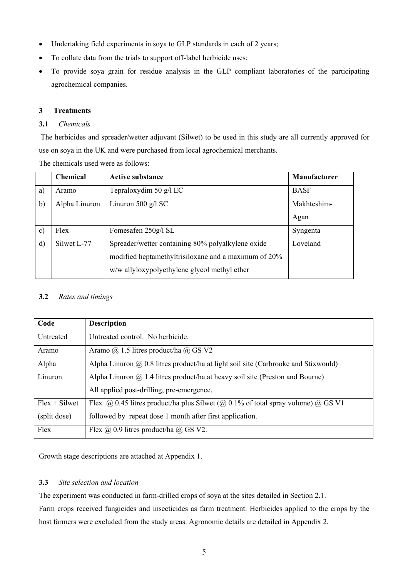- Undertaking field experiments in soya to GLP standards in each of 2 years;
- To collate data from the trials to support off-label herbicide uses;
- To provide soya grain for residue analysis in the GLP compliant laboratories of the participating agrochemical companies.

# **3 Treatments**

# **3.1** *Chemicals*

 The herbicides and spreader/wetter adjuvant (Silwet) to be used in this study are all currently approved for use on soya in the UK and were purchased from local agrochemical merchants.

The chemicals used were as follows:

|               | <b>Chemical</b> | <b>Active substance</b>                              | Manufacturer |
|---------------|-----------------|------------------------------------------------------|--------------|
| a)            | Aramo           | Tepraloxydim 50 g/l EC                               | <b>BASF</b>  |
| b)            | Alpha Linuron   | Linuron 500 $g/l$ SC                                 | Makhteshim-  |
|               |                 |                                                      | Agan         |
| $\mathbf{c})$ | Flex            | Fomesafen 250g/l SL                                  | Syngenta     |
| $\mathbf{d}$  | Silwet L-77     | Spreader/wetter containing 80% polyalkylene oxide    | Loveland     |
|               |                 | modified heptamethyltrisiloxane and a maximum of 20% |              |
|               |                 | w/w allyloxypolyethylene glycol methyl ether         |              |

# **3.2** *Rates and timings*

| Code            | <b>Description</b>                                                                        |
|-----------------|-------------------------------------------------------------------------------------------|
| Untreated       | Untreated control. No herbicide.                                                          |
| Aramo           | Aramo $\omega$ 1.5 litres product/ha $\omega$ GS V2                                       |
| Alpha           | Alpha Linuron $\omega$ 0.8 litres product/ha at light soil site (Carbrooke and Stixwould) |
| Linuron         | Alpha Linuron $\omega$ 1.4 litres product/ha at heavy soil site (Preston and Bourne)      |
|                 | All applied post-drilling, pre-emergence.                                                 |
| $Flex + Silwet$ | Flex @ 0.45 litres product/ha plus Silwet (@ 0.1% of total spray volume) @ GS V1          |
| (split dose)    | followed by repeat dose 1 month after first application.                                  |
| Flex            | Flex $\omega$ 0.9 litres product/ha $\omega$ GS V2.                                       |

Growth stage descriptions are attached at Appendix 1.

# **3.3** *Site selection and location*

The experiment was conducted in farm-drilled crops of soya at the sites detailed in Section 2.1. Farm crops received fungicides and insecticides as farm treatment. Herbicides applied to the crops by the host farmers were excluded from the study areas. Agronomic details are detailed in Appendix 2.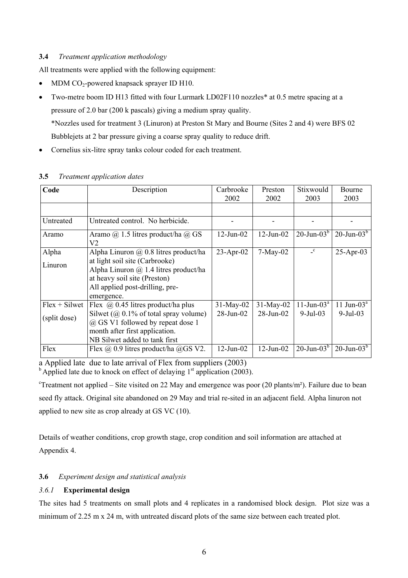# **3.4** *Treatment application methodology*

All treatments were applied with the following equipment:

- MDM  $CO_2$ -powered knapsack sprayer ID H10.
- Two-metre boom ID H13 fitted with four Lurmark LD02F110 nozzles<sup>\*</sup> at 0.5 metre spacing at a pressure of 2.0 bar (200 k pascals) giving a medium spray quality. \*Nozzles used for treatment 3 (Linuron) at Preston St Mary and Bourne (Sites 2 and 4) were BFS 02 Bubblejets at 2 bar pressure giving a coarse spray quality to reduce drift.
- Cornelius six-litre spray tanks colour coded for each treatment.

| Code            | Description                                                                                                                                                     | Carbrooke<br>2002 | Preston<br>2002 | Stixwould<br>2003         | <b>Bourne</b><br>2003 |
|-----------------|-----------------------------------------------------------------------------------------------------------------------------------------------------------------|-------------------|-----------------|---------------------------|-----------------------|
|                 |                                                                                                                                                                 |                   |                 |                           |                       |
| Untreated       | Untreated control. No herbicide.                                                                                                                                |                   |                 |                           |                       |
| Aramo           | Aramo @ 1.5 litres product/ha @ GS<br>V2                                                                                                                        | $12$ -Jun- $02$   | $12$ -Jun-02    | $20$ -Jun- $03b$          | $20$ -Jun- $03b$      |
| Alpha           | Alpha Linuron $\omega$ 0.8 litres product/ha                                                                                                                    | $23$ -Apr-02      | $7-May-02$      | $\mathbf{c}$              | $25$ -Apr-03          |
| Linuron         | at light soil site (Carbrooke)<br>Alpha Linuron $\omega$ 1.4 litres product/ha<br>at heavy soil site (Preston)<br>All applied post-drilling, pre-<br>emergence. |                   |                 |                           |                       |
| $Flex + Silwet$ | Flex $\omega$ 0.45 litres product/ha plus                                                                                                                       | $31-May-02$       | $31-May-02$     | $11$ -Jun-03 <sup>a</sup> | 11 Jun-03 $a$         |
| (split dose)    | Silwet ( $\omega$ ) 0.1% of total spray volume)<br>@ GS V1 followed by repeat dose 1<br>month after first application.<br>NB Silwet added to tank first         | $28$ -Jun-02      | $28$ -Jun-02    | $9-Jul-03$                | $9 - \text{Jul} - 03$ |
| Flex            | Flex $\omega$ 0.9 litres product/ha $\omega$ GS V2.                                                                                                             | $12$ -Jun-02      | $12$ -Jun-02    | $20$ -Jun- $03b$          | $20$ -Jun- $03b$      |

#### **3.5** *Treatment application dates*

a Applied late due to late arrival of Flex from suppliers (2003)

 $<sup>b</sup>$  Applied late due to knock on effect of delaying  $1<sup>st</sup>$  application (2003).</sup>

<sup>c</sup>Treatment not applied – Site visited on 22 May and emergence was poor (20 plants/m<sup>2</sup>). Failure due to bean seed fly attack. Original site abandoned on 29 May and trial re-sited in an adjacent field. Alpha linuron not applied to new site as crop already at GS VC (10).

Details of weather conditions, crop growth stage, crop condition and soil information are attached at Appendix 4.

# **3.6** *Experiment design and statistical analysis*

# *3.6.1* **Experimental design**

The sites had 5 treatments on small plots and 4 replicates in a randomised block design. Plot size was a minimum of 2.25 m x 24 m, with untreated discard plots of the same size between each treated plot.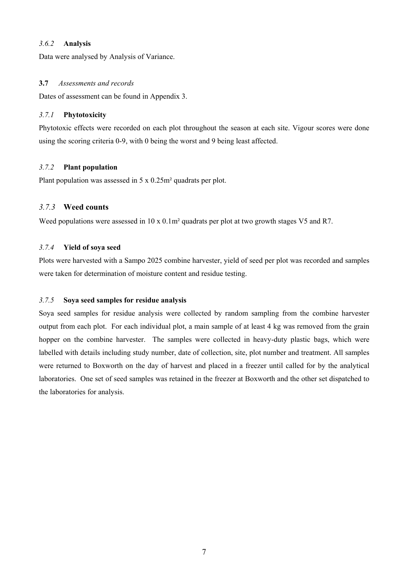#### *3.6.2* **Analysis**

Data were analysed by Analysis of Variance.

#### **3.7** *Assessments and records*

Dates of assessment can be found in Appendix 3.

### *3.7.1* **Phytotoxicity**

Phytotoxic effects were recorded on each plot throughout the season at each site. Vigour scores were done using the scoring criteria 0-9, with 0 being the worst and 9 being least affected.

#### *3.7.2* **Plant population**

Plant population was assessed in 5 x 0.25m² quadrats per plot.

# *3.7.3* **Weed counts**

Weed populations were assessed in 10 x 0.1m<sup>2</sup> quadrats per plot at two growth stages V5 and R7.

# *3.7.4* **Yield of soya seed**

Plots were harvested with a Sampo 2025 combine harvester, yield of seed per plot was recorded and samples were taken for determination of moisture content and residue testing.

#### *3.7.5* **Soya seed samples for residue analysis**

Soya seed samples for residue analysis were collected by random sampling from the combine harvester output from each plot. For each individual plot, a main sample of at least 4 kg was removed from the grain hopper on the combine harvester. The samples were collected in heavy-duty plastic bags, which were labelled with details including study number, date of collection, site, plot number and treatment. All samples were returned to Boxworth on the day of harvest and placed in a freezer until called for by the analytical laboratories. One set of seed samples was retained in the freezer at Boxworth and the other set dispatched to the laboratories for analysis.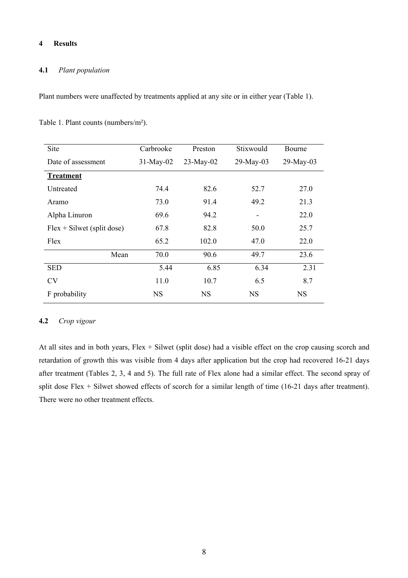#### **4 Results**

#### **4.1** *Plant population*

Plant numbers were unaffected by treatments applied at any site or in either year (Table 1).

Table 1. Plant counts (numbers/m²).

| Site                         | Carbrooke   | Preston     | Stixwould | Bourne       |
|------------------------------|-------------|-------------|-----------|--------------|
| Date of assessment           | $31-May-02$ | $23-May-02$ | 29-May-03 | $29$ -May-03 |
| <b>Treatment</b>             |             |             |           |              |
| Untreated                    | 74.4        | 82.6        | 52.7      | 27.0         |
| Aramo                        | 73.0        | 91.4        | 49.2      | 21.3         |
| Alpha Linuron                | 69.6        | 94.2        |           | 22.0         |
| $Flex + Silwet$ (split dose) | 67.8        | 82.8        | 50.0      | 25.7         |
| Flex                         | 65.2        | 102.0       | 47.0      | 22.0         |
| Mean                         | 70.0        | 90.6        | 49.7      | 23.6         |
| <b>SED</b>                   | 5.44        | 6.85        | 6.34      | 2.31         |
| <b>CV</b>                    | 11.0        | 10.7        | 6.5       | 8.7          |
| F probability                | <b>NS</b>   | <b>NS</b>   | NS        | <b>NS</b>    |

#### **4.2** *Crop vigour*

At all sites and in both years, Flex + Silwet (split dose) had a visible effect on the crop causing scorch and retardation of growth this was visible from 4 days after application but the crop had recovered 16-21 days after treatment (Tables 2, 3, 4 and 5). The full rate of Flex alone had a similar effect. The second spray of split dose Flex + Silwet showed effects of scorch for a similar length of time (16-21 days after treatment). There were no other treatment effects.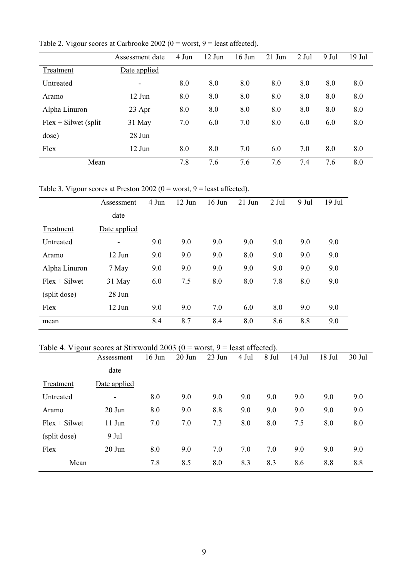|                         | Assessment date          | 4 Jun | $12$ Jun | $16$ Jun | $21$ Jun | 2 Jul | 9 Jul | 19 Jul |
|-------------------------|--------------------------|-------|----------|----------|----------|-------|-------|--------|
| Treatment               | Date applied             |       |          |          |          |       |       |        |
| Untreated               | $\overline{\phantom{a}}$ | 8.0   | 8.0      | 8.0      | 8.0      | 8.0   | 8.0   | 8.0    |
| Aramo                   | 12 Jun                   | 8.0   | 8.0      | 8.0      | 8.0      | 8.0   | 8.0   | 8.0    |
| Alpha Linuron           | 23 Apr                   | 8.0   | 8.0      | 8.0      | 8.0      | 8.0   | 8.0   | 8.0    |
| $Flex + Silwet$ (split) | 31 May                   | 7.0   | 6.0      | 7.0      | 8.0      | 6.0   | 6.0   | 8.0    |
| dose)                   | 28 Jun                   |       |          |          |          |       |       |        |
| Flex                    | 12 Jun                   | 8.0   | 8.0      | 7.0      | 6.0      | 7.0   | 8.0   | 8.0    |
| Mean                    |                          | 7.8   | 7.6      | 7.6      | 7.6      | 7.4   | 7.6   | 8.0    |

Table 2. Vigour scores at Carbrooke 2002 ( $0 =$  worst,  $9 =$  least affected).

Table 3. Vigour scores at Preston 2002 ( $0 =$  worst,  $9 =$  least affected).

|                 | Assessment               | 4 Jun | 12 Jun | $16$ Jun | $21$ Jun | 2 Jul | 9 Jul | $19$ Jul |
|-----------------|--------------------------|-------|--------|----------|----------|-------|-------|----------|
|                 | date                     |       |        |          |          |       |       |          |
| Treatment       | Date applied             |       |        |          |          |       |       |          |
| Untreated       | $\overline{\phantom{0}}$ | 9.0   | 9.0    | 9.0      | 9.0      | 9.0   | 9.0   | 9.0      |
| Aramo           | $12$ Jun                 | 9.0   | 9.0    | 9.0      | 8.0      | 9.0   | 9.0   | 9.0      |
| Alpha Linuron   | 7 May                    | 9.0   | 9.0    | 9.0      | 9.0      | 9.0   | 9.0   | 9.0      |
| $Flex + Silwet$ | 31 May                   | 6.0   | 7.5    | 8.0      | 8.0      | 7.8   | 8.0   | 9.0      |
| (split dose)    | 28 Jun                   |       |        |          |          |       |       |          |
| Flex            | 12 Jun                   | 9.0   | 9.0    | 7.0      | 6.0      | 8.0   | 9.0   | 9.0      |
| mean            |                          | 8.4   | 8.7    | 8.4      | 8.0      | 8.6   | 8.8   | 9.0      |

# Table 4. Vigour scores at Stixwould 2003 ( $0 =$  worst,  $9 =$  least affected).

|                 | Assessment   | $16$ Jun | $20$ Jun | 23 Jun | 4 Jul | 8 Jul | 14 Jul | 18 Jul | 30 Jul |
|-----------------|--------------|----------|----------|--------|-------|-------|--------|--------|--------|
|                 | date         |          |          |        |       |       |        |        |        |
| Treatment       | Date applied |          |          |        |       |       |        |        |        |
| Untreated       | ۰            | 8.0      | 9.0      | 9.0    | 9.0   | 9.0   | 9.0    | 9.0    | 9.0    |
| Aramo           | 20 Jun       | 8.0      | 9.0      | 8.8    | 9.0   | 9.0   | 9.0    | 9.0    | 9.0    |
| $Flex + Silwet$ | $11$ Jun     | 7.0      | 7.0      | 7.3    | 8.0   | 8.0   | 7.5    | 8.0    | 8.0    |
| (split dose)    | 9 Jul        |          |          |        |       |       |        |        |        |
| Flex            | $20$ Jun     | 8.0      | 9.0      | 7.0    | 7.0   | 7.0   | 9.0    | 9.0    | 9.0    |
| Mean            |              | 7.8      | 8.5      | 8.0    | 8.3   | 8.3   | 8.6    | 8.8    | 8.8    |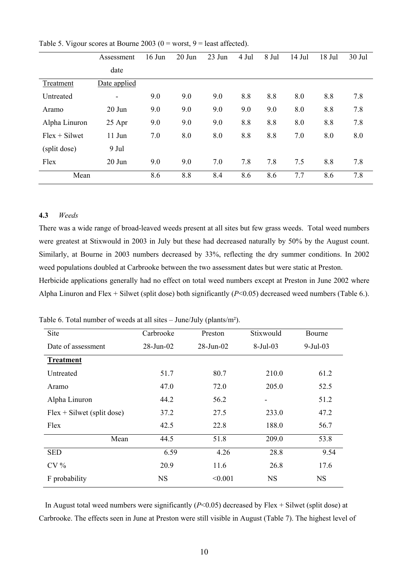|                 | Assessment                   | $16$ Jun | 20 Jun | 23 Jun | 4 Jul | 8 Jul | 14 Jul | 18 Jul | 30 Jul |
|-----------------|------------------------------|----------|--------|--------|-------|-------|--------|--------|--------|
|                 | date                         |          |        |        |       |       |        |        |        |
| Treatment       | Date applied                 |          |        |        |       |       |        |        |        |
| Untreated       | $\qquad \qquad \blacksquare$ | 9.0      | 9.0    | 9.0    | 8.8   | 8.8   | 8.0    | 8.8    | 7.8    |
| Aramo           | $20$ Jun                     | 9.0      | 9.0    | 9.0    | 9.0   | 9.0   | 8.0    | 8.8    | 7.8    |
| Alpha Linuron   | 25 Apr                       | 9.0      | 9.0    | 9.0    | 8.8   | 8.8   | 8.0    | 8.8    | 7.8    |
| $Flex + Silwet$ | $11$ Jun                     | 7.0      | 8.0    | 8.0    | 8.8   | 8.8   | 7.0    | 8.0    | 8.0    |
| (split dose)    | 9 Jul                        |          |        |        |       |       |        |        |        |
| Flex            | $20$ Jun                     | 9.0      | 9.0    | 7.0    | 7.8   | 7.8   | 7.5    | 8.8    | 7.8    |
| Mean            |                              | 8.6      | 8.8    | 8.4    | 8.6   | 8.6   | 7.7    | 8.6    | 7.8    |

Table 5. Vigour scores at Bourne 2003 ( $0 =$  worst,  $9 =$  least affected).

# **4.3** *Weeds*

There was a wide range of broad-leaved weeds present at all sites but few grass weeds. Total weed numbers were greatest at Stixwould in 2003 in July but these had decreased naturally by 50% by the August count. Similarly, at Bourne in 2003 numbers decreased by 33%, reflecting the dry summer conditions. In 2002 weed populations doubled at Carbrooke between the two assessment dates but were static at Preston. Herbicide applications generally had no effect on total weed numbers except at Preston in June 2002 where Alpha Linuron and Flex + Silwet (split dose) both significantly (*P*<0.05) decreased weed numbers (Table 6.).

Site Carbrooke Preston Stixwould Bourne Date of assessment 28-Jun-02 28-Jun-02 8-Jul-03 9-Jul-03 **Treatment** Untreated 51.7 80.7 210.0 61.2 Aramo 47.0 72.0 205.0 52.5 Alpha Linuron 44.2 56.2 - 51.2 Flex + Silwet (split dose) 37.2 27.5 233.0 47.2 Flex 42.5 22.8 188.0 56.7 Mean 44.5 51.8 209.0 53.8 SED 6.59 4.26 28.8 9.54 CV % 20.9 11.6 26.8 17.6 F probability NS  $\leq 0.001$  NS NS

Table 6. Total number of weeds at all sites – June/July (plants/m²).

In August total weed numbers were significantly (*P*<0.05) decreased by Flex + Silwet (split dose) at Carbrooke. The effects seen in June at Preston were still visible in August (Table 7). The highest level of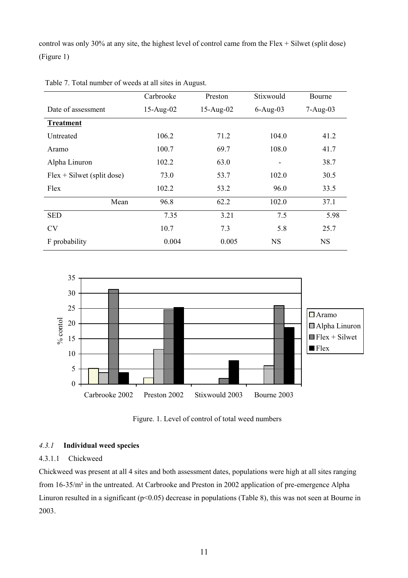control was only 30% at any site, the highest level of control came from the Flex + Silwet (split dose) (Figure 1)

|                              | Carbrooke   | Preston     | Stixwould                | Bourne     |
|------------------------------|-------------|-------------|--------------------------|------------|
| Date of assessment           | $15-Aug-02$ | $15-Aug-02$ | $6-Aug-03$               | $7-Aug-03$ |
| <b>Treatment</b>             |             |             |                          |            |
| Untreated                    | 106.2       | 71.2        | 104.0                    | 41.2       |
| Aramo                        | 100.7       | 69.7        | 108.0                    |            |
| Alpha Linuron                | 102.2       | 63.0        | $\overline{\phantom{0}}$ | 38.7       |
| $Flex + Silwet$ (split dose) | 73.0        | 53.7        | 102.0                    | 30.5       |
| Flex                         | 102.2       | 53.2        | 96.0                     | 33.5       |
| Mean                         | 96.8        | 62.2        | 102.0                    | 37.1       |
| <b>SED</b>                   | 7.35        | 3.21        | 7.5                      | 5.98       |
| <b>CV</b>                    | 10.7        | 7.3         | 5.8                      | 25.7       |
| F probability                | 0.004       | 0.005       | <b>NS</b>                | <b>NS</b>  |

Table 7. Total number of weeds at all sites in August.



Figure. 1. Level of control of total weed numbers

# *4.3.1* **Individual weed species**

# 4.3.1.1 Chickweed

Chickweed was present at all 4 sites and both assessment dates, populations were high at all sites ranging from 16-35/m² in the untreated. At Carbrooke and Preston in 2002 application of pre-emergence Alpha Linuron resulted in a significant (p<0.05) decrease in populations (Table 8), this was not seen at Bourne in 2003.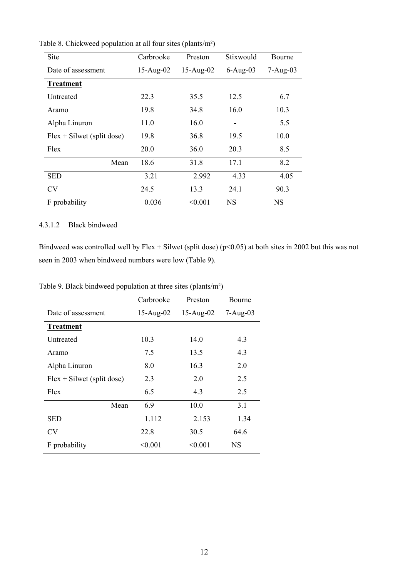| Site                         | Carbrooke   | Preston     | Stixwould    | Bourne       |
|------------------------------|-------------|-------------|--------------|--------------|
| Date of assessment           | $15-Aug-02$ | $15-Aug-02$ | $6 - Aug-03$ | $7 - Aug-03$ |
| <b>Treatment</b>             |             |             |              |              |
| Untreated                    | 22.3        | 35.5        | 12.5         | 6.7          |
| Aramo                        | 19.8        | 34.8        | 16.0         | 10.3         |
| Alpha Linuron                | 11.0        | 16.0        |              | 5.5          |
| $Flex + Silwet$ (split dose) | 19.8        | 36.8        | 19.5         | 10.0         |
| Flex                         | 20.0        | 36.0        | 20.3         | 8.5          |
| Mean                         | 18.6        | 31.8        | 17.1         | 8.2          |
| <b>SED</b>                   | 3.21        | 2.992       | 4.33         | 4.05         |
| <b>CV</b>                    | 24.5        | 13.3        | 24.1         | 90.3         |
| F probability                | 0.036       | < 0.001     | NS           | NS           |

Table 8. Chickweed population at all four sites (plants/m²)

#### 4.3.1.2 Black bindweed

Bindweed was controlled well by Flex + Silwet (split dose) ( $p$ <0.05) at both sites in 2002 but this was not seen in 2003 when bindweed numbers were low (Table 9).

Table 9. Black bindweed population at three sites (plants/m²)

|                              | Carbrooke   | Preston     | Bourne     |
|------------------------------|-------------|-------------|------------|
| Date of assessment           | $15-Aug-02$ | $15-Aug-02$ | $7-Aug-03$ |
| <b>Treatment</b>             |             |             |            |
| Untreated                    | 10.3        | 14.0        | 4.3        |
| Aramo                        | 7.5         | 13.5        | 4.3        |
| Alpha Linuron                | 8.0         | 16.3        | 2.0        |
| $Flex + Silwet$ (split dose) | 2.3         | 2.0         | 2.5        |
| Flex                         | 6.5         | 4.3         | 2.5        |
| Mean                         | 6.9         | 10.0        | 3.1        |
| SED                          | 1.112       | 2.153       | 1.34       |
| CV                           | 22.8        | 30.5        | 64.6       |
| F probability                | < 0.001     | < 0.001     | NS         |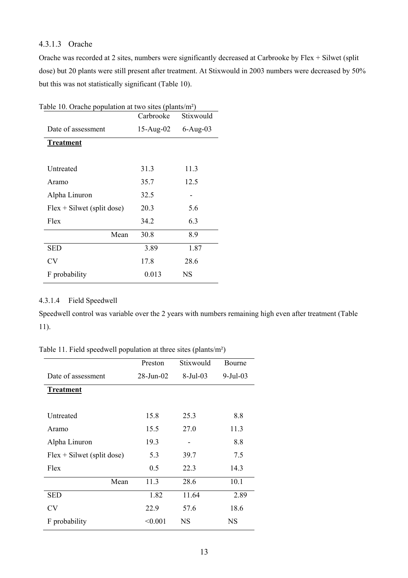# 4.3.1.3 Orache

Orache was recorded at 2 sites, numbers were significantly decreased at Carbrooke by Flex + Silwet (split dose) but 20 plants were still present after treatment. At Stixwould in 2003 numbers were decreased by 50% but this was not statistically significant (Table 10).

| Table 10. Orache population at two sites (plants/m <sup>2</sup> ) |           |           |  |  |
|-------------------------------------------------------------------|-----------|-----------|--|--|
|                                                                   | Carbrooke | Stixwould |  |  |
| Date of assessment                                                | 15-Aug-02 | 6-Aug-03  |  |  |
| <b>Treatment</b>                                                  |           |           |  |  |
|                                                                   |           |           |  |  |
| Untreated                                                         | 31.3      | 11.3      |  |  |
| Aramo                                                             | 35.7      | 12.5      |  |  |
| Alpha Linuron                                                     | 32.5      |           |  |  |
| $Flex + Silwet$ (split dose)                                      | 20.3      | 5.6       |  |  |
| Flex                                                              | 34.2      | 6.3       |  |  |
| Mean                                                              | 30.8      | 8.9       |  |  |
| SED                                                               | 3.89      | 1.87      |  |  |
| <b>CV</b>                                                         | 17.8      | 28.6      |  |  |
| F probability                                                     | 0.013     | <b>NS</b> |  |  |

# 4.3.1.4 Field Speedwell

Speedwell control was variable over the 2 years with numbers remaining high even after treatment (Table 11).

Table 11. Field speedwell population at three sites (plants/m²)

|                              | Preston         | Stixwould  | Bourne         |
|------------------------------|-----------------|------------|----------------|
| Date of assessment           | $28$ -Jun- $02$ | $8-Jul-03$ | $9$ -Jul $-03$ |
| <b>Treatment</b>             |                 |            |                |
|                              |                 |            |                |
| Untreated                    | 15.8            | 25.3       | 8.8            |
| Aramo                        | 15.5            | 27.0       | 11.3           |
| Alpha Linuron                | 19.3            |            | 8.8            |
| $Flex + Silwet$ (split dose) | 5.3             | 39.7       | 7.5            |
| Flex                         | 0.5             | 22.3       | 14.3           |
| Mean                         | 11.3            | 28.6       | 10.1           |
| <b>SED</b>                   | 1.82            | 11.64      | 2.89           |
| <b>CV</b>                    | 22.9            | 57.6       | 18.6           |
| F probability                | < 0.001         | <b>NS</b>  | NS             |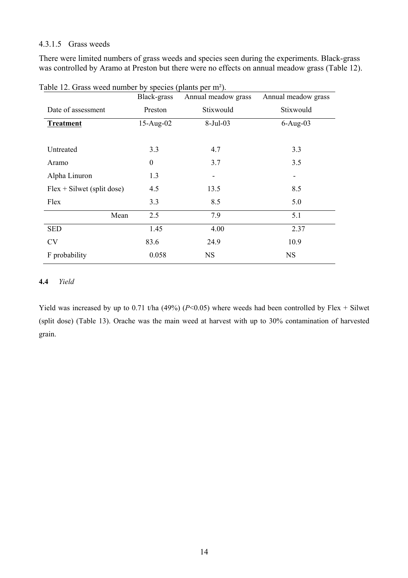### 4.3.1.5 Grass weeds

There were limited numbers of grass weeds and species seen during the experiments. Black-grass was controlled by Aramo at Preston but there were no effects on annual meadow grass (Table 12).

|                              | Black-grass      | Annual meadow grass | Annual meadow grass |
|------------------------------|------------------|---------------------|---------------------|
| Date of assessment           | Preston          | Stixwould           | Stixwould           |
| <b>Treatment</b>             | $15-Aug-02$      | $8-Jul-03$          | $6-Aug-03$          |
|                              |                  |                     |                     |
| Untreated                    | 3.3              | 4.7                 | 3.3                 |
| Aramo                        | $\boldsymbol{0}$ | 3.7                 | 3.5                 |
| Alpha Linuron                | 1.3              |                     | -                   |
| $Flex + Silwet$ (split dose) | 4.5              | 13.5                | 8.5                 |
| Flex                         | 3.3              | 8.5                 | 5.0                 |
| Mean                         | 2.5              | 7.9                 | 5.1                 |
| <b>SED</b>                   | 1.45             | 4.00                | 2.37                |
| <b>CV</b>                    | 83.6             | 24.9                | 10.9                |
| F probability                | 0.058            | <b>NS</b>           | <b>NS</b>           |

Table 12. Grass weed number by species (plants per m²).

# **4.4** *Yield*

Yield was increased by up to 0.71 t/ha (49%) ( $P$ <0.05) where weeds had been controlled by Flex + Silwet (split dose) (Table 13). Orache was the main weed at harvest with up to 30% contamination of harvested grain.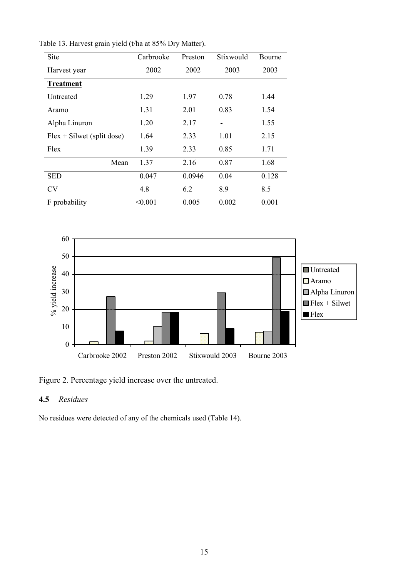| Site                         | Carbrooke | Preston | Stixwould | Bourne |
|------------------------------|-----------|---------|-----------|--------|
| Harvest year                 | 2002      | 2002    | 2003      | 2003   |
| <b>Treatment</b>             |           |         |           |        |
| Untreated                    | 1.29      | 1.97    | 0.78      | 1.44   |
| Aramo                        | 1.31      | 2.01    | 0.83      | 1.54   |
| Alpha Linuron                | 1.20      | 2.17    |           | 1.55   |
| $Flex + Silwet$ (split dose) | 1.64      | 2.33    | 1.01      | 2.15   |
| Flex                         | 1.39      | 2.33    | 0.85      | 1.71   |
| Mean                         | 1.37      | 2.16    | 0.87      | 1.68   |
| <b>SED</b>                   | 0.047     | 0.0946  | 0.04      | 0.128  |
| <b>CV</b>                    | 4.8       | 6.2     | 8.9       | 8.5    |
| F probability                | < 0.001   | 0.005   | 0.002     | 0.001  |

Table 13. Harvest grain yield (t/ha at 85% Dry Matter).



Figure 2. Percentage yield increase over the untreated.

# **4.5** *Residues*

No residues were detected of any of the chemicals used (Table 14).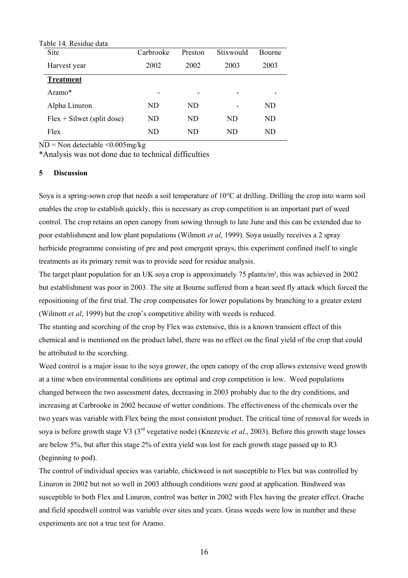| Carbrooke | Preston | Stixwould | Bourne |
|-----------|---------|-----------|--------|
| 2002      | 2002    | 2003      | 2003   |
|           |         |           |        |
| -         |         |           |        |
| ND.       | ND      |           | ND     |
| ND        | ND      | ND        | ND     |
| ND        | ND      | ND        | ND     |
|           |         |           |        |

ND = Non detectable <0.005mg/kg

\*Analysis was not done due to technical difficulties

#### **5 Discussion**

Soya is a spring-sown crop that needs a soil temperature of 10°C at drilling. Drilling the crop into warm soil enables the crop to establish quickly, this is necessary as crop competition is an important part of weed control. The crop retains an open canopy from sowing through to late June and this can be extended due to poor establishment and low plant populations (Wilmott *et al*, 1999). Soya usually receives a 2 spray herbicide programme consisting of pre and post emergent sprays, this experiment confined itself to single treatments as its primary remit was to provide seed for residue analysis.

The target plant population for an UK soya crop is approximately 75 plants/m², this was achieved in 2002 but establishment was poor in 2003. The site at Bourne suffered from a bean seed fly attack which forced the repositioning of the first trial. The crop compensates for lower populations by branching to a greater extent (Wilmott *et al*, 1999) but the crop's competitive ability with weeds is reduced.

The stunting and scorching of the crop by Flex was extensive, this is a known transient effect of this chemical and is mentioned on the product label, there was no effect on the final yield of the crop that could be attributed to the scorching.

Weed control is a major issue to the soya grower, the open canopy of the crop allows extensive weed growth at a time when environmental conditions are optimal and crop competition is low. Weed populations changed between the two assessment dates, decreasing in 2003 probably due to the dry conditions, and increasing at Carbrooke in 2002 because of wetter conditions. The effectiveness of the chemicals over the two years was variable with Flex being the most consistent product. The critical time of removal for weeds in soya is before growth stage V3 (3rd vegetative node) (Knezevic *et al*., 2003). Before this growth stage losses are below 5%, but after this stage 2% of extra yield was lost for each growth stage passed up to R3 (beginning to pod).

The control of individual species was variable, chickweed is not susceptible to Flex but was controlled by Linuron in 2002 but not so well in 2003 although conditions were good at application. Bindweed was susceptible to both Flex and Linuron, control was better in 2002 with Flex having the greater effect. Orache and field speedwell control was variable over sites and years. Grass weeds were low in number and these experiments are not a true test for Aramo.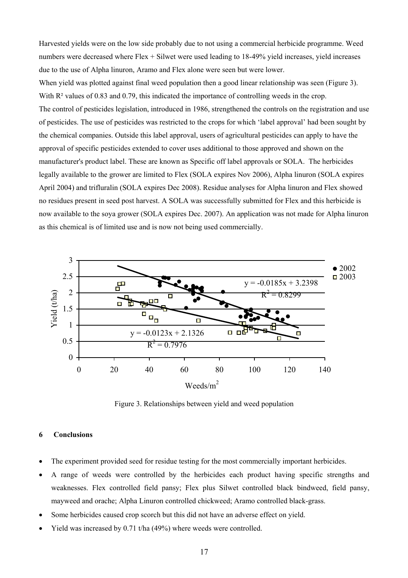Harvested yields were on the low side probably due to not using a commercial herbicide programme. Weed numbers were decreased where Flex + Silwet were used leading to 18-49% yield increases, yield increases due to the use of Alpha linuron, Aramo and Flex alone were seen but were lower.

When yield was plotted against final weed population then a good linear relationship was seen (Figure 3). With  $R<sup>2</sup>$  values of 0.83 and 0.79, this indicated the importance of controlling weeds in the crop. The control of pesticides legislation, introduced in 1986, strengthened the controls on the registration and use of pesticides. The use of pesticides was restricted to the crops for which 'label approval' had been sought by the chemical companies. Outside this label approval, users of agricultural pesticides can apply to have the approval of specific pesticides extended to cover uses additional to those approved and shown on the manufacturer's product label. These are known as Specific off label approvals or SOLA. The herbicides legally available to the grower are limited to Flex (SOLA expires Nov 2006), Alpha linuron (SOLA expires April 2004) and trifluralin (SOLA expires Dec 2008). Residue analyses for Alpha linuron and Flex showed no residues present in seed post harvest. A SOLA was successfully submitted for Flex and this herbicide is now available to the soya grower (SOLA expires Dec. 2007). An application was not made for Alpha linuron as this chemical is of limited use and is now not being used commercially.



Figure 3. Relationships between yield and weed population

#### **6 Conclusions**

- The experiment provided seed for residue testing for the most commercially important herbicides.
- A range of weeds were controlled by the herbicides each product having specific strengths and weaknesses. Flex controlled field pansy; Flex plus Silwet controlled black bindweed, field pansy, mayweed and orache; Alpha Linuron controlled chickweed; Aramo controlled black-grass.
- Some herbicides caused crop scorch but this did not have an adverse effect on yield.
- Yield was increased by 0.71 t/ha (49%) where weeds were controlled.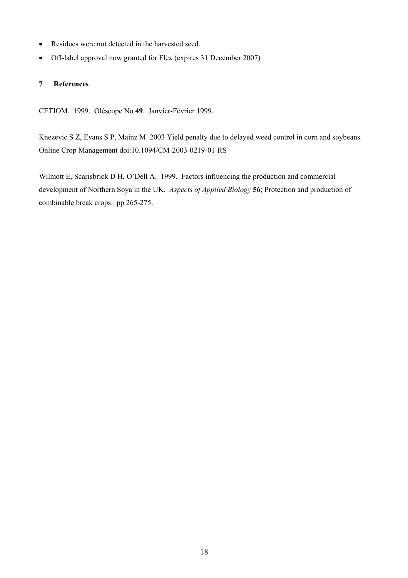- Residues were not detected in the harvested seed.
- Off-label approval now granted for Flex (expires 31 December 2007)

#### **7 References**

CETIOM. 1999. Oléscope No **49**. Janvier-Février 1999.

Knezevic S Z, Evans S P, Mainz M 2003 Yield penalty due to delayed weed control in corn and soybeans. Online Crop Management doi:10.1094/CM-2003-0219-01-RS

Wilmott E, Scarisbrick D H, O'Dell A. 1999. Factors influencing the production and commercial development of Northern Soya in the UK. *Aspects of Applied Biology* **56**; Protection and production of combinable break crops. pp 265-275.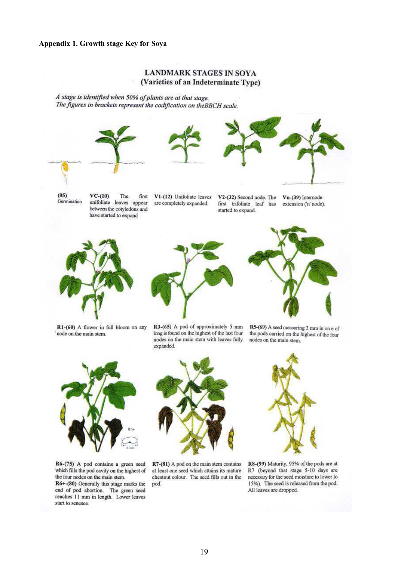#### **Appendix 1. Growth stage Key for Soya**

#### **LANDMARK STAGES IN SOYA** (Varieties of an Indeterminate Type)

A stage is identified when 50% of plants are at that stage. The figures in brackets represent the codification on the BBCH scale.









 $(05)$ Germination

 $VC-(10)$ The first unifoliate leaves appear between the cotyledons and have started to expand

V1-(12) Unifoliate leaves are completely expanded.

V2-(32) Second node. The Vn-(39) Internode first trifoliate leaf has started to expand.

extension ('n' node).



R1-(60) A flower in full bloom on any node on the main stem.



R3-(65) A pod of approximately 5 mm long is found on the highest of the last four nodes on the main stem with leaves fully expanded.



R5-(69) A seed measuring 3 mm in on e of the pods carried on the highest of the four nodes on the main stem.



R6-(75) A pod contains a green seed which fills the pod cavity on the highest of the four nodes on the main stem. R6+-(80) Generally this stage marks the

end of pod abortion. The green seed reaches 11 mm in length. Lower leaves start to senesce.



R7-(81) A pod on the main stem contains at least one seed which attains its mature chestnut colour. The seed fills out in the pod.



R8-(99) Maturity, 95% of the pods are at R7 (beyond that stage 5-10 days are necessary for the seed moisture to lower to 15%). The seed is released from the pod. All leaves are dropped.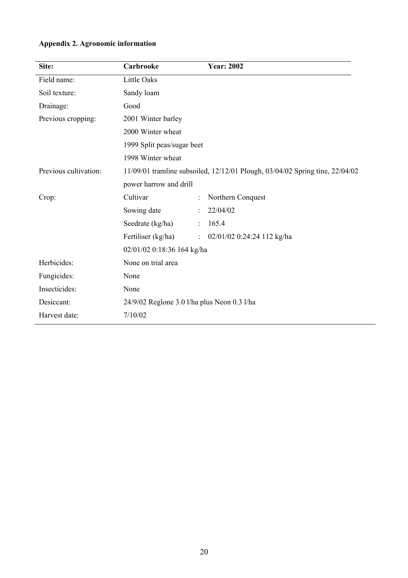|  |  |  | Appendix 2. Agronomic information |
|--|--|--|-----------------------------------|
|--|--|--|-----------------------------------|

| Site:                 | Carbrooke                                   | <b>Year: 2002</b>                                                            |
|-----------------------|---------------------------------------------|------------------------------------------------------------------------------|
| Field name:           | Little Oaks                                 |                                                                              |
| Soil texture:         | Sandy loam                                  |                                                                              |
| Drainage:             | Good                                        |                                                                              |
| Previous cropping:    | 2001 Winter barley                          |                                                                              |
|                       | 2000 Winter wheat                           |                                                                              |
|                       | 1999 Split peas/sugar beet                  |                                                                              |
|                       | 1998 Winter wheat                           |                                                                              |
| Previous cultivation: |                                             | 11/09/01 tramline subsoiled, 12/12/01 Plough, 03/04/02 Spring tine, 22/04/02 |
|                       | power harrow and drill                      |                                                                              |
| Crop:                 | Cultivar                                    | Northern Conquest                                                            |
|                       | Sowing date                                 | 22/04/02                                                                     |
|                       | Seedrate (kg/ha)                            | 165.4                                                                        |
|                       | Fertiliser (kg/ha)                          | 02/01/02 0:24:24 112 kg/ha<br>$\ddot{\cdot}$                                 |
|                       | 02/01/02 0:18:36 164 kg/ha                  |                                                                              |
| Herbicides:           | None on trial area                          |                                                                              |
| Fungicides:           | None                                        |                                                                              |
| Insecticides:         | None                                        |                                                                              |
| Desiccant:            | 24/9/02 Reglone 3.0 l/ha plus Neon 0.3 l/ha |                                                                              |
| Harvest date:         | 7/10/02                                     |                                                                              |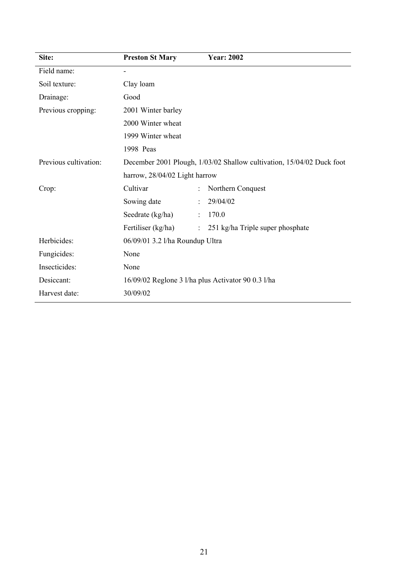| Site:                 | <b>Preston St Mary</b>          | <b>Year: 2002</b>                                                     |
|-----------------------|---------------------------------|-----------------------------------------------------------------------|
| Field name:           | $\overline{a}$                  |                                                                       |
| Soil texture:         | Clay loam                       |                                                                       |
| Drainage:             | Good                            |                                                                       |
| Previous cropping:    | 2001 Winter barley              |                                                                       |
|                       | 2000 Winter wheat               |                                                                       |
|                       | 1999 Winter wheat               |                                                                       |
|                       | 1998 Peas                       |                                                                       |
| Previous cultivation: |                                 | December 2001 Plough, 1/03/02 Shallow cultivation, 15/04/02 Duck foot |
|                       | harrow, 28/04/02 Light harrow   |                                                                       |
| Crop:                 | Cultivar                        | Northern Conquest                                                     |
|                       | Sowing date                     | 29/04/02                                                              |
|                       | Seedrate (kg/ha)                | 170.0<br>÷                                                            |
|                       | Fertiliser (kg/ha)              | 251 kg/ha Triple super phosphate<br>$\mathcal{L}^{\mathcal{L}}$       |
| Herbicides:           | 06/09/01 3.2 l/ha Roundup Ultra |                                                                       |
| Fungicides:           | None                            |                                                                       |
| Insecticides:         | None                            |                                                                       |
| Desiccant:            |                                 | 16/09/02 Reglone 3 l/ha plus Activator 90 0.3 l/ha                    |
| Harvest date:         | 30/09/02                        |                                                                       |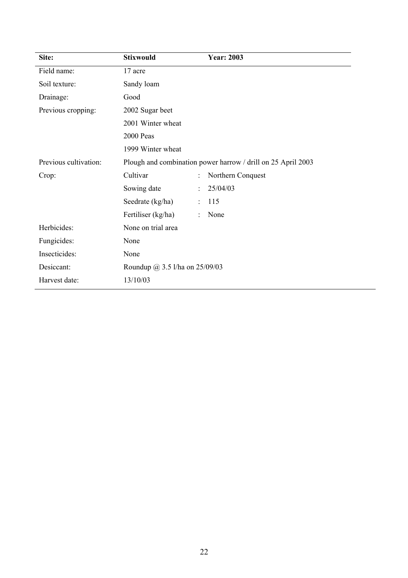| Site:                 | <b>Stixwould</b>               | <b>Year: 2003</b>                                            |
|-----------------------|--------------------------------|--------------------------------------------------------------|
| Field name:           | 17 acre                        |                                                              |
| Soil texture:         | Sandy loam                     |                                                              |
| Drainage:             | Good                           |                                                              |
| Previous cropping:    | 2002 Sugar beet                |                                                              |
|                       | 2001 Winter wheat              |                                                              |
|                       | 2000 Peas                      |                                                              |
|                       | 1999 Winter wheat              |                                                              |
| Previous cultivation: |                                | Plough and combination power harrow / drill on 25 April 2003 |
| Crop:                 | Cultivar                       | Northern Conquest                                            |
|                       | Sowing date                    | 25/04/03                                                     |
|                       | Seedrate (kg/ha)               | 115                                                          |
|                       | Fertiliser (kg/ha)             | None                                                         |
| Herbicides:           | None on trial area             |                                                              |
| Fungicides:           | None                           |                                                              |
| Insecticides:         | None                           |                                                              |
| Desiccant:            | Roundup @ 3.5 l/ha on 25/09/03 |                                                              |
| Harvest date:         | 13/10/03                       |                                                              |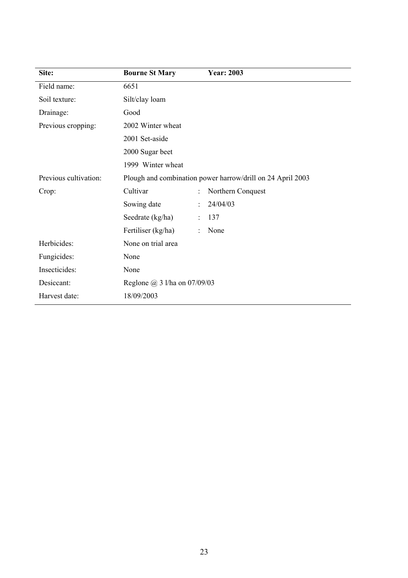| Site:                 | <b>Bourne St Mary</b>               | <b>Year: 2003</b>                                          |
|-----------------------|-------------------------------------|------------------------------------------------------------|
| Field name:           | 6651                                |                                                            |
| Soil texture:         | Silt/clay loam                      |                                                            |
| Drainage:             | Good                                |                                                            |
| Previous cropping:    | 2002 Winter wheat                   |                                                            |
|                       | 2001 Set-aside                      |                                                            |
|                       | 2000 Sugar beet                     |                                                            |
|                       | 1999 Winter wheat                   |                                                            |
| Previous cultivation: |                                     | Plough and combination power harrow/drill on 24 April 2003 |
| Crop:                 | Cultivar                            | Northern Conquest                                          |
|                       | Sowing date                         | 24/04/03                                                   |
|                       | Seedrate (kg/ha)                    | 137                                                        |
|                       | Fertiliser (kg/ha)                  | None                                                       |
| Herbicides:           | None on trial area                  |                                                            |
| Fungicides:           | None                                |                                                            |
| Insecticides:         | None                                |                                                            |
| Desiccant:            | Reglone $\omega$ 3 l/ha on 07/09/03 |                                                            |
| Harvest date:         | 18/09/2003                          |                                                            |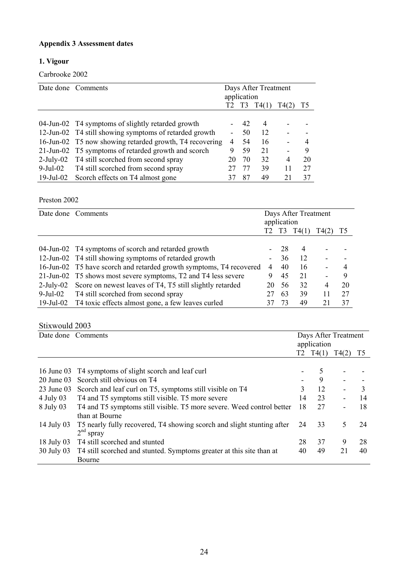# **Appendix 3 Assessment dates**

# **1. Vigour**

Carbrooke 2002

|              | Date done Comments                                      |    | Days After Treatment<br>application |                |      |    |
|--------------|---------------------------------------------------------|----|-------------------------------------|----------------|------|----|
|              |                                                         |    | T <sub>3</sub>                      | T4(1)          | T4(2 | T5 |
|              |                                                         |    |                                     |                |      |    |
|              | 04-Jun-02 T4 symptoms of slightly retarded growth       |    | 42                                  | $\overline{4}$ |      |    |
|              | 12-Jun-02 T4 still showing symptoms of retarded growth  |    | 50                                  | 12             |      |    |
|              | 16-Jun-02 T5 now showing retarded growth, T4 recovering | 4  | 54                                  | 16             |      | 4  |
|              | 21-Jun-02 T5 symptoms of retarded growth and scorch     | 9  | 59                                  | 21             |      | 9  |
| $2$ -July-02 | T4 still scorched from second spray                     | 20 | 70                                  | 32             | 4    | 20 |
| 9-Jul-02     | T4 still scorched from second spray                     |    | 77                                  | 39             | 11   | 27 |
| 19-Jul-02    | Scorch effects on T4 almost gone                        |    | 87                                  | 49             |      | 37 |

Preston 2002

|              | Date done Comments                                                  |                          | Days After Treatment<br>application |       |       |                |
|--------------|---------------------------------------------------------------------|--------------------------|-------------------------------------|-------|-------|----------------|
|              |                                                                     | T2                       | T3                                  | T4(1) | T4(2) | T <sub>5</sub> |
|              |                                                                     |                          |                                     |       |       |                |
|              | 04-Jun-02 T4 symptoms of scorch and retarded growth                 |                          | 28                                  | 4     |       |                |
|              | 12-Jun-02 T4 still showing symptoms of retarded growth              | $\overline{\phantom{a}}$ | 36                                  | 12    |       |                |
|              | 16-Jun-02 T5 have scorch and retarded growth symptoms, T4 recovered | 4                        | 40                                  | 16    |       | 4              |
|              | 21-Jun-02 T5 shows most severe symptoms, T2 and T4 less severe      | 9                        | 45                                  | 21    |       | 9              |
| $2$ -July-02 | Score on newest leaves of T4, T5 still slightly retarded            | 20                       | 56                                  | 32    | 4     | 20             |
| 9-Jul-02     | T4 still scorched from second spray                                 | 27                       | 63                                  | 39    | 11    | 27             |
| 19-Jul-02    | T4 toxic effects almost gone, a few leaves curled                   |                          | 73                                  | 49    | 2.1   | 37             |

# Stixwould 2003

|              | Date done Comments                                                                      |    | Days After Treatment<br>application |                          |                |
|--------------|-----------------------------------------------------------------------------------------|----|-------------------------------------|--------------------------|----------------|
|              |                                                                                         | T2 | T4(1)                               | T4(2)                    | T <sub>5</sub> |
| 16 June 03   | T4 symptoms of slight scorch and leaf curl                                              |    | 5                                   |                          |                |
| $20$ June 03 | Scorch still obvious on T4                                                              |    | 9                                   |                          |                |
| $23$ June 03 | Scorch and leaf curl on T5, symptoms still visible on T4                                | 3  | 12                                  |                          | 3              |
| $4$ July 03  | T4 and T5 symptoms still visible. T5 more severe                                        | 14 | 23                                  | $\blacksquare$           | 14             |
| $8$ July 03  | T4 and T5 symptoms still visible. T5 more severe. Weed control better<br>than at Bourne | 18 | 27                                  | $\overline{\phantom{a}}$ | 18             |
| 14 July 03   | T5 nearly fully recovered, T4 showing scorch and slight stunting after<br>$2nd$ spray   | 24 | 33                                  | 5                        | 24             |
| 18 July 03   | T4 still scorched and stunted                                                           | 28 | 37                                  | 9                        | 28             |
| 30 July 03   | T4 still scorched and stunted. Symptoms greater at this site than at<br>Bourne          | 40 | 49                                  | 21                       | 40             |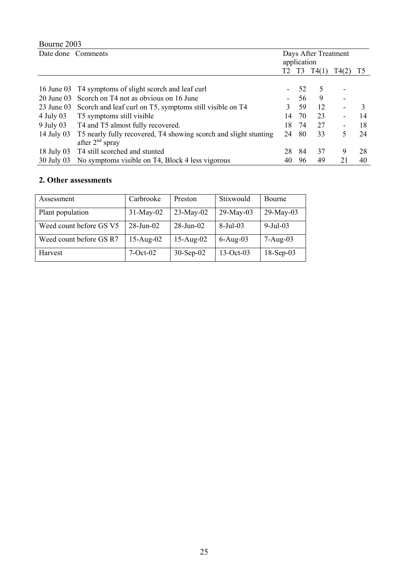# Bourne 2003

| Date done Comments |                                                                                          | Days After Treatment<br>application |     |       |                              |    |
|--------------------|------------------------------------------------------------------------------------------|-------------------------------------|-----|-------|------------------------------|----|
|                    |                                                                                          | T2                                  | T3  | T4(1) | T4(2)                        | T5 |
|                    |                                                                                          |                                     |     |       |                              |    |
| 16 June 03         | T4 symptoms of slight scorch and leaf curl                                               |                                     | 52  | 5     |                              |    |
| 20 June 03         | Scorch on T4 not as obvious on 16 June                                                   |                                     | 56  | 9     |                              |    |
| 23 June 03         | Scorch and leaf curl on T5, symptoms still visible on T4                                 | 3                                   | 59  | 12    |                              |    |
| 4 July 03          | T5 symptoms still visible                                                                | 14                                  | 70  | 23    | $\blacksquare$               | 14 |
|                    | 9 July 03 T4 and T5 almost fully recovered.                                              | 18                                  | 74  | 27    | $\qquad \qquad \blacksquare$ | 18 |
| 14 July 03         | T5 nearly fully recovered, T4 showing scorch and slight stunting<br>after $2^{nd}$ spray | 24                                  | -80 | 33    | 5                            | 24 |
| 18 July 03         | T4 still scorched and stunted                                                            | 28                                  | 84  | 37    | 9                            | 28 |
| 30 July 03         | No symptoms visible on T4, Block 4 less vigorous                                         | 40                                  | 96  | 49    | 21                           | 40 |

# **2. Other assessments**

| Assessment              | Carbrooke    | Preston         | Stixwould    | <b>Bourne</b> |
|-------------------------|--------------|-----------------|--------------|---------------|
| Plant population        | $31-May-02$  | $23-May-02$     | $29$ -May-03 | 29-May-03     |
| Weed count before GS V5 | $28$ -Jun-02 | $28 - Jun - 02$ | $8-Jul-03$   | $9$ -Jul-03   |
| Weed count before GS R7 | $15-Aug-02$  | $15-Aug-02$     | $6-Aug-03$   | $7-Aug-03$    |
| Harvest                 | $7-Oct-02$   | $30-Sep-02$     | $13-Oct-03$  | $18-Sep-03$   |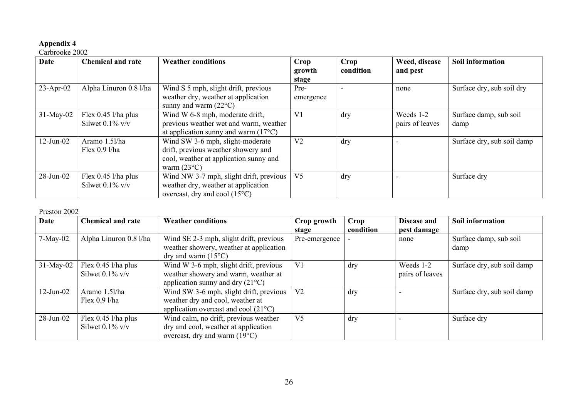### **Appendix 4**

#### Carbrooke 2002

| <b>Date</b>  | <b>Chemical and rate</b>                    | <b>Weather conditions</b>                                                                                                                 | Crop<br>growth<br>stage | Crop<br>condition | Weed, disease<br>and pest    | Soil information               |
|--------------|---------------------------------------------|-------------------------------------------------------------------------------------------------------------------------------------------|-------------------------|-------------------|------------------------------|--------------------------------|
| $23$ -Apr-02 | Alpha Linuron 0.8 l/ha                      | Wind S 5 mph, slight drift, previous<br>weather dry, weather at application<br>sunny and warm $(22^{\circ}C)$                             | Pre-<br>emergence       |                   | none                         | Surface dry, sub soil dry      |
| $31-May-02$  | Flex $0.45$ l/ha plus<br>Silwet $0.1\%$ v/v | Wind W 6-8 mph, moderate drift,<br>previous weather wet and warm, weather<br>at application sunny and warm $(17^{\circ}C)$                | V <sub>1</sub>          | dry               | Weeds 1-2<br>pairs of leaves | Surface damp, sub soil<br>damp |
| $12$ -Jun-02 | Aramo 1.5l/ha<br>Flex $0.9$ l/ha            | Wind SW 3-6 mph, slight-moderate<br>drift, previous weather showery and<br>cool, weather at application sunny and<br>warm $(23^{\circ}C)$ | V <sub>2</sub>          | dry               |                              | Surface dry, sub soil damp     |
| $28$ -Jun-02 | Flex $0.45$ l/ha plus<br>Silwet $0.1\%$ v/v | Wind NW 3-7 mph, slight drift, previous<br>weather dry, weather at application<br>overcast, dry and cool $(15^{\circ}C)$                  | V <sub>5</sub>          | dry               |                              | Surface dry                    |

#### Preston 2002

| <b>Date</b>  | <b>Chemical and rate</b>                    | <b>Weather conditions</b>                                                                                                    | Crop growth<br>stage | Crop<br>condition | Disease and<br>pest damage   | Soil information               |
|--------------|---------------------------------------------|------------------------------------------------------------------------------------------------------------------------------|----------------------|-------------------|------------------------------|--------------------------------|
| $7-May-02$   | Alpha Linuron 0.8 l/ha                      | Wind SE 2-3 mph, slight drift, previous<br>weather showery, weather at application<br>dry and warm $(15^{\circ}C)$           | Pre-emergence        |                   | none                         | Surface damp, sub soil<br>damp |
| $31-May-02$  | Flex $0.45$ l/ha plus<br>Silwet $0.1\%$ v/v | Wind W 3-6 mph, slight drift, previous<br>weather showery and warm, weather at<br>application sunny and dry $(21^{\circ}C)$  | V <sub>1</sub>       | dry               | Weeds 1-2<br>pairs of leaves | Surface dry, sub soil damp     |
| $12$ -Jun-02 | Aramo 1.51/ha<br>Flex $0.9$ l/ha            | Wind SW 3-6 mph, slight drift, previous<br>weather dry and cool, weather at<br>application overcast and cool $(21^{\circ}C)$ | V <sub>2</sub>       | dry               |                              | Surface dry, sub soil damp     |
| $28$ -Jun-02 | Flex $0.45$ l/ha plus<br>Silwet $0.1\%$ v/v | Wind calm, no drift, previous weather<br>dry and cool, weather at application<br>overcast, dry and warm $(19^{\circ}C)$      | V <sub>5</sub>       | dry               |                              | Surface dry                    |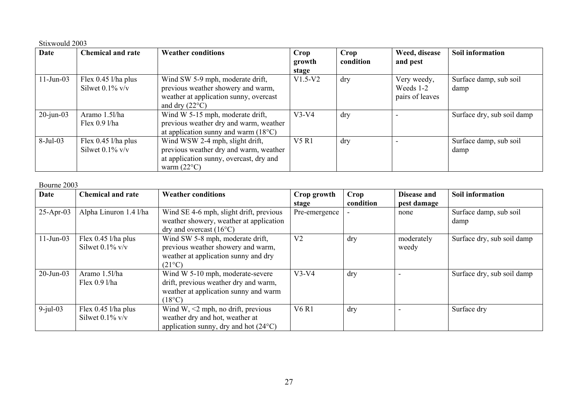#### Stixwould 2003

| Date         | <b>Chemical and rate</b>                    | <b>Weather conditions</b>                                                                                                                    | Crop            | Crop      | Weed, disease                               | Soil information               |
|--------------|---------------------------------------------|----------------------------------------------------------------------------------------------------------------------------------------------|-----------------|-----------|---------------------------------------------|--------------------------------|
|              |                                             |                                                                                                                                              | growth<br>stage | condition | and pest                                    |                                |
| $11$ -Jun-03 | Flex $0.45$ l/ha plus<br>Silwet $0.1\%$ v/v | Wind SW 5-9 mph, moderate drift,<br>previous weather showery and warm,<br>weather at application sunny, overcast<br>and dry $(22^{\circ}C)$  | $V1.5-V2$       | dry       | Very weedy,<br>Weeds 1-2<br>pairs of leaves | Surface damp, sub soil<br>damp |
| $20$ -jun-03 | Aramo 1.5l/ha<br>Flex $0.9$ l/ha            | Wind W 5-15 mph, moderate drift,<br>previous weather dry and warm, weather<br>at application sunny and warm $(18^{\circ}C)$                  | $V3-V4$         | dry       |                                             | Surface dry, sub soil damp     |
| 8-Jul-03     | Flex $0.45$ l/ha plus<br>Silwet $0.1\%$ v/v | Wind WSW 2-4 mph, slight drift,<br>previous weather dry and warm, weather<br>at application sunny, overcast, dry and<br>warm $(22^{\circ}C)$ | V5R1            | dry       |                                             | Surface damp, sub soil<br>damp |

#### Bourne 2003

| <b>Date</b>  | <b>Chemical and rate</b>                    | <b>Weather conditions</b>                                                                                                             | Crop growth<br>stage | Crop<br>condition | Disease and<br>pest damage | Soil information               |
|--------------|---------------------------------------------|---------------------------------------------------------------------------------------------------------------------------------------|----------------------|-------------------|----------------------------|--------------------------------|
| $25$ -Apr-03 | Alpha Linuron 1.4 l/ha                      | Wind SE 4-6 mph, slight drift, previous<br>weather showery, weather at application<br>dry and overcast $(16^{\circ}C)$                | Pre-emergence        |                   | none                       | Surface damp, sub soil<br>damp |
| $11$ -Jun-03 | Flex 0.45 l/ha plus<br>Silwet $0.1\%$ v/v   | Wind SW 5-8 mph, moderate drift,<br>previous weather showery and warm,<br>weather at application sunny and dry<br>$(21^{\circ}C)$     | V <sub>2</sub>       | dry               | moderately<br>weedy        | Surface dry, sub soil damp     |
| $20$ -Jun-03 | Aramo 1.5l/ha<br>Flex $0.9$ l/ha            | Wind W 5-10 mph, moderate-severe<br>drift, previous weather dry and warm,<br>weather at application sunny and warm<br>$(18^{\circ}C)$ | $V3-V4$              | dry               |                            | Surface dry, sub soil damp     |
| $9$ -jul-03  | Flex $0.45$ l/ha plus<br>Silwet $0.1\%$ v/v | Wind W, $\leq$ 2 mph, no drift, previous<br>weather dry and hot, weather at<br>application sunny, dry and hot $(24^{\circ}C)$         | <b>V6 R1</b>         | dry               |                            | Surface dry                    |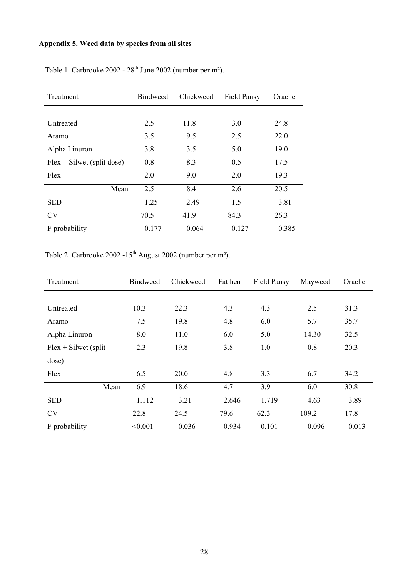# **Appendix 5. Weed data by species from all sites**

| Treatment                    | <b>Bindweed</b> | Chickweed | <b>Field Pansy</b> | Orache |
|------------------------------|-----------------|-----------|--------------------|--------|
|                              |                 |           |                    |        |
| Untreated                    | 2.5             | 11.8      | 3.0                | 24.8   |
| Aramo                        | 3.5             | 9.5       | 2.5                | 22.0   |
| Alpha Linuron                | 3.8             | 3.5       | 5.0                | 19.0   |
| $Flex + Silwet$ (split dose) | 0.8             | 8.3       | 0.5                | 17.5   |
| Flex                         | 2.0             | 9.0       | 2.0                | 19.3   |
| Mean                         | 2.5             | 8.4       | 2.6                | 20.5   |
| <b>SED</b>                   | 1.25            | 2.49      | 1.5                | 3.81   |
| <b>CV</b>                    | 70.5            | 41.9      | 84.3               | 26.3   |
| F probability                | 0.177           | 0.064     | 0.127              | 0.385  |

Table 1. Carbrooke 2002 - 28<sup>th</sup> June 2002 (number per m<sup>2</sup>).

Table 2. Carbrooke 2002 -15<sup>th</sup> August 2002 (number per m<sup>2</sup>).

| Treatment              | <b>Bindweed</b> | Chickweed | Fat hen | Field Pansy | Mayweed | Orache |
|------------------------|-----------------|-----------|---------|-------------|---------|--------|
|                        |                 |           |         |             |         |        |
| Untreated              | 10.3            | 22.3      | 4.3     | 4.3         | 2.5     | 31.3   |
| Aramo                  | 7.5             | 19.8      | 4.8     | 6.0         | 5.7     | 35.7   |
| Alpha Linuron          | 8.0             | 11.0      | 6.0     | 5.0         | 14.30   | 32.5   |
| $Flex + Silwet$ (split | 2.3             | 19.8      | 3.8     | 1.0         | 0.8     | 20.3   |
| dose)                  |                 |           |         |             |         |        |
| Flex                   | 6.5             | 20.0      | 4.8     | 3.3         | 6.7     | 34.2   |
| Mean                   | 6.9             | 18.6      | 4.7     | 3.9         | 6.0     | 30.8   |
| <b>SED</b>             | 1.112           | 3.21      | 2.646   | 1.719       | 4.63    | 3.89   |
| <b>CV</b>              | 22.8            | 24.5      | 79.6    | 62.3        | 109.2   | 17.8   |
| F probability          | < 0.001         | 0.036     | 0.934   | 0.101       | 0.096   | 0.013  |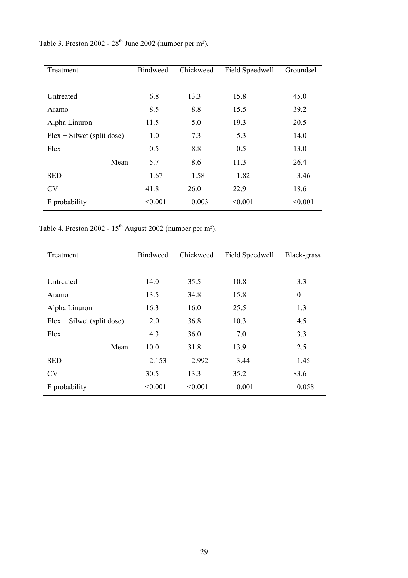Table 3. Preston  $2002 - 28$ <sup>th</sup> June 2002 (number per m<sup>2</sup>).

| Treatment                    | <b>Bindweed</b> | Chickweed | Field Speedwell | Groundsel |
|------------------------------|-----------------|-----------|-----------------|-----------|
|                              |                 |           |                 |           |
| Untreated                    | 6.8             | 13.3      | 15.8            | 45.0      |
| Aramo                        | 8.5             | 8.8       | 15.5            | 39.2      |
| Alpha Linuron                | 11.5            | 5.0       | 19.3            | 20.5      |
| $Flex + Silwet$ (split dose) | 1.0             | 7.3       | 5.3             | 14.0      |
| Flex                         | 0.5             | 8.8       | 0.5             | 13.0      |
| Mean                         | 5.7             | 8.6       | 11.3            | 26.4      |
| <b>SED</b>                   | 1.67            | 1.58      | 1.82            | 3.46      |
| <b>CV</b>                    | 41.8            | 26.0      | 22.9            | 18.6      |
| F probability                | < 0.001         | 0.003     | < 0.001         | < 0.001   |

Table 4. Preston 2002 -  $15<sup>th</sup>$  August 2002 (number per m<sup>2</sup>).

| Treatment                    | <b>Bindweed</b> | Chickweed | Field Speedwell | Black-grass  |  |
|------------------------------|-----------------|-----------|-----------------|--------------|--|
|                              |                 |           |                 |              |  |
| Untreated                    | 14.0            | 35.5      | 10.8            | 3.3          |  |
| Aramo                        | 13.5            | 34.8      | 15.8            | $\mathbf{0}$ |  |
| Alpha Linuron                | 16.3            | 16.0      | 25.5            | 1.3          |  |
| $Flex + Silwet$ (split dose) | 2.0             | 36.8      | 10.3            | 4.5          |  |
| Flex                         | 4.3             | 36.0      | 7.0             | 3.3          |  |
| Mean                         | 10.0            | 31.8      | 13.9            | 2.5          |  |
| <b>SED</b>                   | 2.153           | 2.992     | 3.44            | 1.45         |  |
| <b>CV</b>                    | 30.5            | 13.3      | 35.2            | 83.6         |  |
| F probability                | < 0.001         | < 0.001   | 0.001           | 0.058        |  |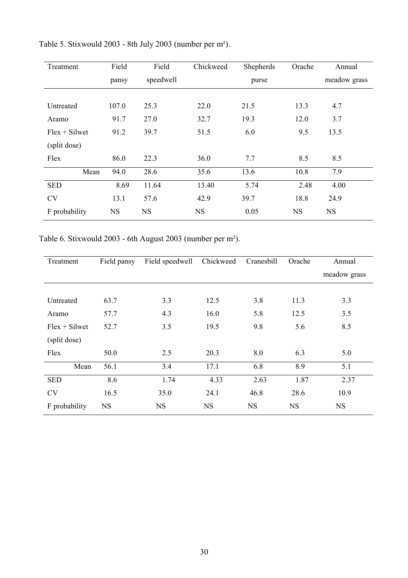| Treatment       | Field     | Field     | Chickweed | Shepherds | Orache    | Annual       |
|-----------------|-----------|-----------|-----------|-----------|-----------|--------------|
|                 | pansy     | speedwell |           | purse     |           | meadow grass |
|                 |           |           |           |           |           |              |
| Untreated       | 107.0     | 25.3      | 22.0      | 21.5      | 13.3      | 4.7          |
| Aramo           | 91.7      | 27.0      | 32.7      | 19.3      | 12.0      | 3.7          |
| $Flex + Silwet$ | 91.2      | 39.7      | 51.5      | 6.0       | 9.5       | 13.5         |
| (split dose)    |           |           |           |           |           |              |
| Flex            | 86.0      | 22.3      | 36.0      | 7.7       | 8.5       | 8.5          |
| Mean            | 94.0      | 28.6      | 35.6      | 13.6      | 10.8      | 7.9          |
| <b>SED</b>      | 8.69      | 11.64     | 13.40     | 5.74      | 2.48      | 4.00         |
| <b>CV</b>       | 13.1      | 57.6      | 42.9      | 39.7      | 18.8      | 24.9         |
| F probability   | <b>NS</b> | <b>NS</b> | <b>NS</b> | 0.05      | <b>NS</b> | <b>NS</b>    |

Table 5. Stixwould 2003 - 8th July 2003 (number per m²).

Table 6. Stixwould 2003 - 6th August 2003 (number per m²).

| Treatment       | Field pansy | Field speedwell | Chickweed | Cranesbill | Orache    | Annual       |  |
|-----------------|-------------|-----------------|-----------|------------|-----------|--------------|--|
|                 |             |                 |           |            |           | meadow grass |  |
|                 |             |                 |           |            |           |              |  |
| Untreated       | 63.7        | 3.3             | 12.5      | 3.8        | 11.3      | 3.3          |  |
| Aramo           | 57.7        | 4.3             | 16.0      | 5.8        | 12.5      | 3.5          |  |
| $Flex + Silwet$ | 52.7        | 3.5             | 19.5      | 9.8        | 5.6       | 8.5          |  |
| (split dose)    |             |                 |           |            |           |              |  |
| Flex            | 50.0        | 2.5             | 20.3      | 8.0        | 6.3       | 5.0          |  |
| Mean            | 56.1        | 3.4             | 17.1      | 6.8        | 8.9       | 5.1          |  |
| <b>SED</b>      | 8.6         | 1.74            | 4.33      | 2.63       | 1.87      | 2.37         |  |
| <b>CV</b>       | 16.5        | 35.0            | 24.1      | 46.8       | 28.6      | 10.9         |  |
| F probability   | <b>NS</b>   | <b>NS</b>       | <b>NS</b> | <b>NS</b>  | <b>NS</b> | <b>NS</b>    |  |